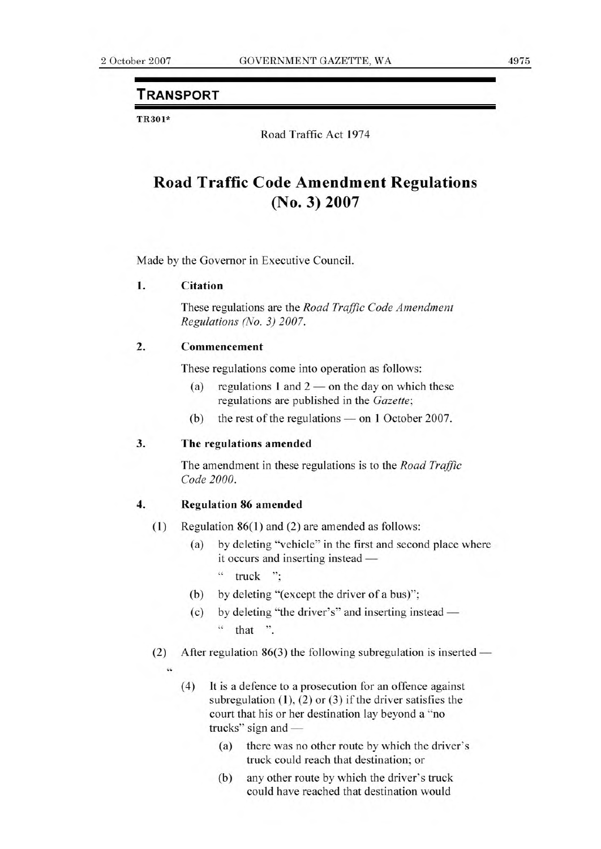# **TRANSPORT**

TR301\*

Road Traffic Act 1974

# **Road Traffic Code Amendment Regulations (No. 3) 2007**

Made by the Governor in Executive Council.

#### **1. Citation**

These regulations are the *Road Traffic Code Amendment Regulations (No. 3) 2007.* 

### **2. Commencement**

These regulations come into operation as follows:

- (a) regulations 1 and  $2$  on the day on which these regulations are published in the *Gazette;*
- (b) the rest of the regulations on 1 October 2007.

## **3. The regulations amended**

The amendment in these regulations is to the *Road Traffic Code 2000.* 

#### **4. Regulation 86 amended**

- **(1)** Regulation 86(1) and (2) are amended as follows:
	- (a) by deleting "vehicle" in the first and second place where it occurs and inserting instead —
		- $"$  truck ":
	- (b) by deleting "(except the driver of a bus)";
	- (c) by deleting "the driver's" and inserting instead " that ".
- (2) After regulation  $86(3)$  the following subregulation is inserted
	- $\epsilon$
- (4) It is a defence to a prosecution for an offence against subregulation **(1),** (2) or (3) if the driver satisfies the court that his or her destination lay beyond a "no trucks" sign and —
	- (a) there was no other route by which the driver's truck could reach that destination; or
	- (b) any other route by which the driver's truck could have reached that destination would